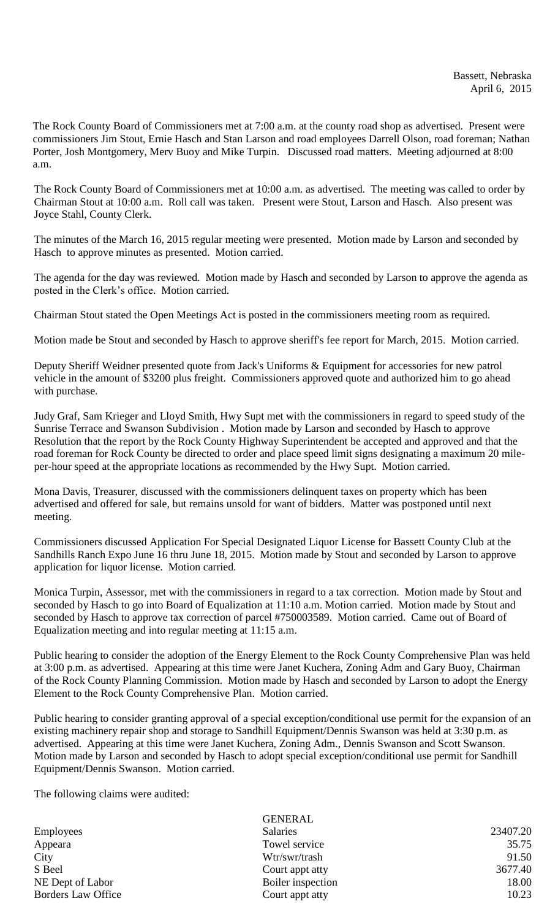The Rock County Board of Commissioners met at 7:00 a.m. at the county road shop as advertised. Present were commissioners Jim Stout, Ernie Hasch and Stan Larson and road employees Darrell Olson, road foreman; Nathan Porter, Josh Montgomery, Merv Buoy and Mike Turpin. Discussed road matters. Meeting adjourned at 8:00 a.m.

The Rock County Board of Commissioners met at 10:00 a.m. as advertised. The meeting was called to order by Chairman Stout at 10:00 a.m. Roll call was taken. Present were Stout, Larson and Hasch. Also present was Joyce Stahl, County Clerk.

The minutes of the March 16, 2015 regular meeting were presented. Motion made by Larson and seconded by Hasch to approve minutes as presented. Motion carried.

The agenda for the day was reviewed. Motion made by Hasch and seconded by Larson to approve the agenda as posted in the Clerk's office. Motion carried.

Chairman Stout stated the Open Meetings Act is posted in the commissioners meeting room as required.

Motion made be Stout and seconded by Hasch to approve sheriff's fee report for March, 2015. Motion carried.

Deputy Sheriff Weidner presented quote from Jack's Uniforms & Equipment for accessories for new patrol vehicle in the amount of \$3200 plus freight. Commissioners approved quote and authorized him to go ahead with purchase.

Judy Graf, Sam Krieger and Lloyd Smith, Hwy Supt met with the commissioners in regard to speed study of the Sunrise Terrace and Swanson Subdivision . Motion made by Larson and seconded by Hasch to approve Resolution that the report by the Rock County Highway Superintendent be accepted and approved and that the road foreman for Rock County be directed to order and place speed limit signs designating a maximum 20 mileper-hour speed at the appropriate locations as recommended by the Hwy Supt. Motion carried.

Mona Davis, Treasurer, discussed with the commissioners delinquent taxes on property which has been advertised and offered for sale, but remains unsold for want of bidders. Matter was postponed until next meeting.

Commissioners discussed Application For Special Designated Liquor License for Bassett County Club at the Sandhills Ranch Expo June 16 thru June 18, 2015. Motion made by Stout and seconded by Larson to approve application for liquor license. Motion carried.

Monica Turpin, Assessor, met with the commissioners in regard to a tax correction. Motion made by Stout and seconded by Hasch to go into Board of Equalization at 11:10 a.m. Motion carried. Motion made by Stout and seconded by Hasch to approve tax correction of parcel #750003589. Motion carried. Came out of Board of Equalization meeting and into regular meeting at 11:15 a.m.

Public hearing to consider the adoption of the Energy Element to the Rock County Comprehensive Plan was held at 3:00 p.m. as advertised. Appearing at this time were Janet Kuchera, Zoning Adm and Gary Buoy, Chairman of the Rock County Planning Commission. Motion made by Hasch and seconded by Larson to adopt the Energy Element to the Rock County Comprehensive Plan. Motion carried.

Public hearing to consider granting approval of a special exception/conditional use permit for the expansion of an existing machinery repair shop and storage to Sandhill Equipment/Dennis Swanson was held at 3:30 p.m. as advertised. Appearing at this time were Janet Kuchera, Zoning Adm., Dennis Swanson and Scott Swanson. Motion made by Larson and seconded by Hasch to adopt special exception/conditional use permit for Sandhill Equipment/Dennis Swanson. Motion carried.

The following claims were audited:

|                    | GENERAL           |          |
|--------------------|-------------------|----------|
| <b>Employees</b>   | <b>Salaries</b>   | 23407.20 |
| Appeara            | Towel service     | 35.75    |
| City               | Wtr/swr/trash     | 91.50    |
| S Beel             | Court appt atty   | 3677.40  |
| NE Dept of Labor   | Boiler inspection | 18.00    |
| Borders Law Office | Court appt atty   | 10.23    |
|                    |                   |          |

 $\sigma$ ENERALE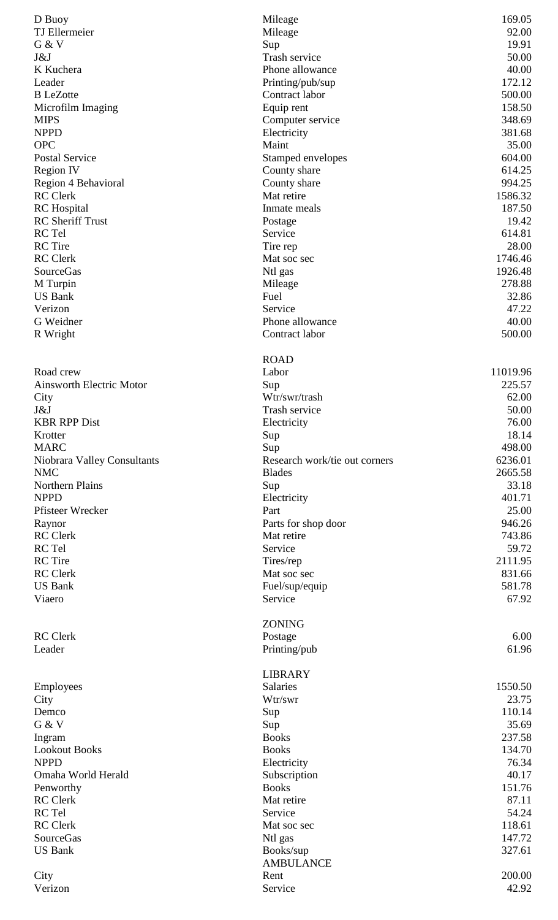| D Buoy                                 | Mileage                       | 169.05            |
|----------------------------------------|-------------------------------|-------------------|
| TJ Ellermeier                          | Mileage                       | 92.00             |
| G & V                                  | Sup                           | 19.91             |
| J&J                                    | Trash service                 | 50.00             |
| K Kuchera                              | Phone allowance               | 40.00             |
| Leader                                 | Printing/pub/sup              | 172.12            |
| <b>B</b> LeZotte                       | Contract labor                | 500.00            |
| Microfilm Imaging                      | Equip rent                    | 158.50            |
| <b>MIPS</b>                            | Computer service              | 348.69            |
| <b>NPPD</b>                            | Electricity                   | 381.68            |
| <b>OPC</b>                             | Maint                         | 35.00             |
| <b>Postal Service</b>                  | Stamped envelopes             | 604.00            |
| <b>Region IV</b>                       | County share                  | 614.25            |
| Region 4 Behavioral<br><b>RC</b> Clerk | County share<br>Mat retire    | 994.25            |
|                                        | Inmate meals                  | 1586.32<br>187.50 |
| RC Hospital<br><b>RC</b> Sheriff Trust |                               | 19.42             |
| RC Tel                                 | Postage<br>Service            | 614.81            |
| <b>RC</b> Tire                         | Tire rep                      | 28.00             |
| <b>RC</b> Clerk                        | Mat soc sec                   | 1746.46           |
| <b>SourceGas</b>                       | Ntl gas                       | 1926.48           |
| M Turpin                               | Mileage                       | 278.88            |
| <b>US Bank</b>                         | Fuel                          | 32.86             |
| Verizon                                | Service                       | 47.22             |
| G Weidner                              | Phone allowance               | 40.00             |
| R Wright                               | Contract labor                | 500.00            |
|                                        |                               |                   |
|                                        | <b>ROAD</b>                   |                   |
| Road crew                              | Labor                         | 11019.96          |
| <b>Ainsworth Electric Motor</b>        | Sup                           | 225.57            |
| City                                   | Wtr/swr/trash                 | 62.00             |
| J&J                                    | Trash service                 | 50.00             |
| <b>KBR RPP Dist</b>                    | Electricity                   | 76.00             |
| Krotter                                | Sup                           | 18.14             |
| <b>MARC</b>                            | Sup                           | 498.00            |
| Niobrara Valley Consultants            | Research work/tie out corners | 6236.01           |
| <b>NMC</b>                             | <b>Blades</b>                 | 2665.58           |
| <b>Northern Plains</b>                 | Sup                           | 33.18             |
| <b>NPPD</b>                            | Electricity                   | 401.71            |
| Pfisteer Wrecker                       | Part                          | 25.00             |
| Raynor                                 | Parts for shop door           | 946.26            |
| <b>RC</b> Clerk                        | Mat retire                    | 743.86            |
| RC Tel                                 | Service                       | 59.72             |
| <b>RC</b> Tire                         | Tires/rep                     | 2111.95           |
| <b>RC</b> Clerk                        | Mat soc sec                   | 831.66            |
| <b>US Bank</b>                         | Fuel/sup/equip                | 581.78            |
| Viaero                                 | Service                       | 67.92             |
|                                        |                               |                   |
|                                        | <b>ZONING</b>                 |                   |
| <b>RC</b> Clerk                        | Postage                       | 6.00              |
| Leader                                 | Printing/pub                  | 61.96             |
|                                        |                               |                   |
|                                        | <b>LIBRARY</b>                |                   |
| Employees                              | <b>Salaries</b>               | 1550.50           |
| City                                   | Wtr/swr                       | 23.75             |
| Demco                                  | Sup                           | 110.14            |
| G & V                                  | Sup                           | 35.69             |
| Ingram                                 | <b>Books</b>                  | 237.58            |
| <b>Lookout Books</b>                   | <b>Books</b>                  | 134.70            |
| <b>NPPD</b>                            | Electricity                   | 76.34             |
| Omaha World Herald                     | Subscription                  | 40.17             |
| Penworthy                              | <b>Books</b>                  | 151.76            |
| <b>RC</b> Clerk                        | Mat retire                    | 87.11             |
| RC Tel                                 | Service                       | 54.24             |
| <b>RC</b> Clerk                        | Mat soc sec                   | 118.61            |
| SourceGas                              | Ntl gas                       | 147.72            |
| <b>US Bank</b>                         | Books/sup                     | 327.61            |
|                                        | <b>AMBULANCE</b>              |                   |
| City                                   | Rent<br>Service               | 200.00<br>42.92   |
| Verizon                                |                               |                   |